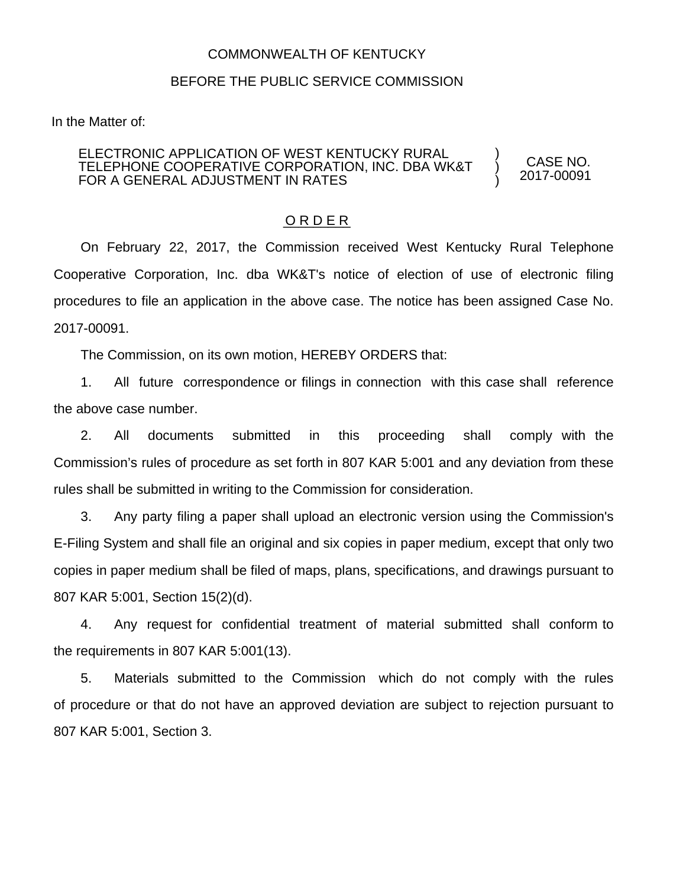## COMMONWEALTH OF KENTUCKY

## BEFORE THE PUBLIC SERVICE COMMISSION

In the Matter of:

## ELECTRONIC APPLICATION OF WEST KENTUCKY RURAL TELEPHONE COOPERATIVE CORPORATION, INC. DBA WK&T FOR A GENERAL ADJUSTMENT IN RATES

CASE NO. 2017-00091

) ) )

## O R D E R

On February 22, 2017, the Commission received West Kentucky Rural Telephone Cooperative Corporation, Inc. dba WK&T's notice of election of use of electronic filing procedures to file an application in the above case. The notice has been assigned Case No. 2017-00091.

The Commission, on its own motion, HEREBY ORDERS that:

1. All future correspondence or filings in connection with this case shall reference the above case number.

2. All documents submitted in this proceeding shall comply with the Commission's rules of procedure as set forth in 807 KAR 5:001 and any deviation from these rules shall be submitted in writing to the Commission for consideration.

3. Any party filing a paper shall upload an electronic version using the Commission's E-Filing System and shall file an original and six copies in paper medium, except that only two copies in paper medium shall be filed of maps, plans, specifications, and drawings pursuant to 807 KAR 5:001, Section 15(2)(d).

4. Any request for confidential treatment of material submitted shall conform to the requirements in 807 KAR 5:001(13).

5. Materials submitted to the Commission which do not comply with the rules of procedure or that do not have an approved deviation are subject to rejection pursuant to 807 KAR 5:001, Section 3.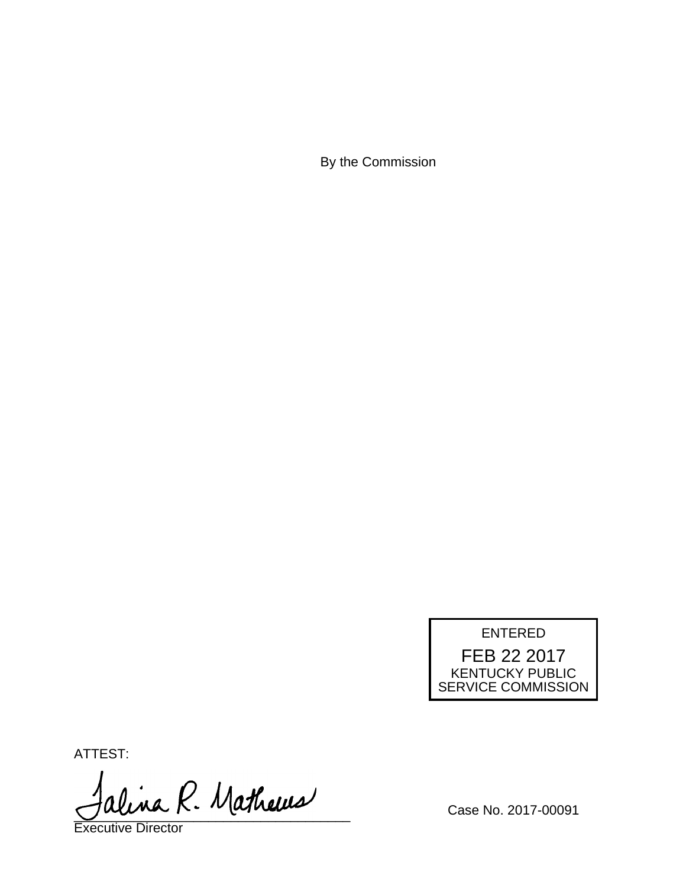By the Commission



ATTEST:

alina R. Mathews

Executive Director

Case No. 2017-00091